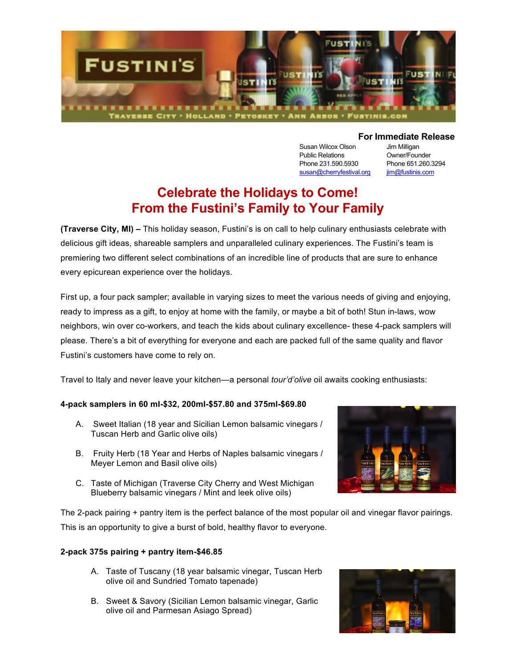

Susan Wilcox Olson Jim Milligan Public Relations **Owner/Founder** Phone 231.590.5930 Phone 651.260.3294 susan@cherryfestival.org jim@fustinis.com

## **For Immediate Release**

# **Celebrate the Holidays to Come! From the Fustini's Family to Your Family**

**(Traverse City, MI) –** This holiday season, Fustini's is on call to help culinary enthusiasts celebrate with delicious gift ideas, shareable samplers and unparalleled culinary experiences. The Fustini's team is premiering two different select combinations of an incredible line of products that are sure to enhance every epicurean experience over the holidays.

First up, a four pack sampler; available in varying sizes to meet the various needs of giving and enjoying, ready to impress as a gift, to enjoy at home with the family, or maybe a bit of both! Stun in-laws, wow neighbors, win over co-workers, and teach the kids about culinary excellence- these 4-pack samplers will please. There's a bit of everything for everyone and each are packed full of the same quality and flavor Fustini's customers have come to rely on.

Travel to Italy and never leave your kitchen—a personal *tour'd'olive* oil awaits cooking enthusiasts:

#### **4-pack samplers in 60 ml-\$32, 200ml-\$57.80 and 375ml-\$69.80**

- A. Sweet Italian (18 year and Sicilian Lemon balsamic vinegars / Tuscan Herb and Garlic olive oils)
- B. Fruity Herb (18 Year and Herbs of Naples balsamic vinegars / Meyer Lemon and Basil olive oils)
- C. Taste of Michigan (Traverse City Cherry and West Michigan Blueberry balsamic vinegars / Mint and leek olive oils)

The 2-pack pairing + pantry item is the perfect balance of the most popular oil and vinegar flavor pairings. This is an opportunity to give a burst of bold, healthy flavor to everyone.

### **2-pack 375s pairing + pantry item-\$46.85**

- A. Taste of Tuscany (18 year balsamic vinegar, Tuscan Herb olive oil and Sundried Tomato tapenade)
- B. Sweet & Savory (Sicilian Lemon balsamic vinegar, Garlic olive oil and Parmesan Asiago Spread)